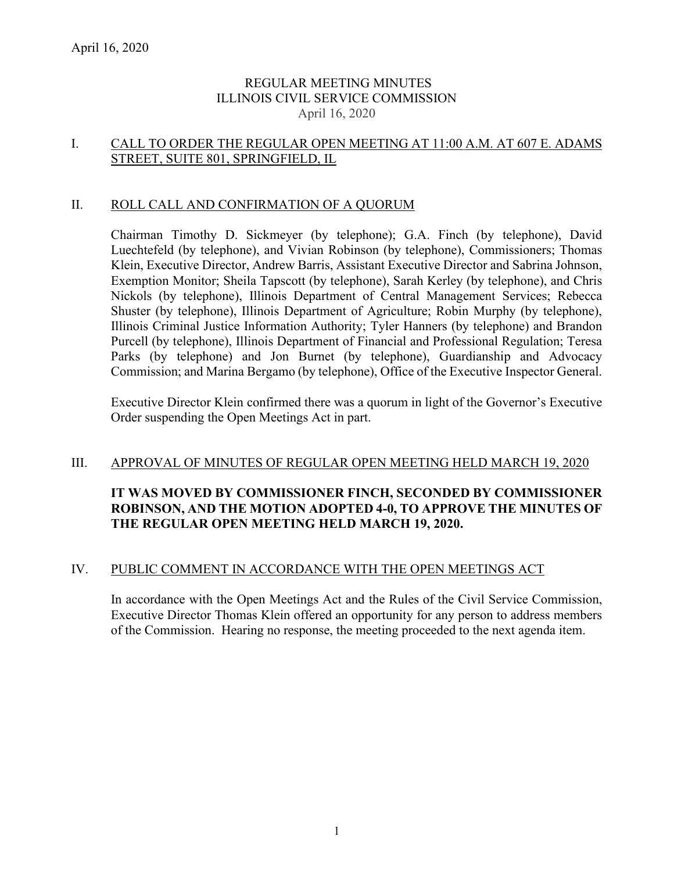## REGULAR MEETING MINUTES ILLINOIS CIVIL SERVICE COMMISSION April 16, 2020

### I. CALL TO ORDER THE REGULAR OPEN MEETING AT 11:00 A.M. AT 607 E. ADAMS STREET, SUITE 801, SPRINGFIELD, IL

### II. ROLL CALL AND CONFIRMATION OF A QUORUM

Chairman Timothy D. Sickmeyer (by telephone); G.A. Finch (by telephone), David Luechtefeld (by telephone), and Vivian Robinson (by telephone), Commissioners; Thomas Klein, Executive Director, Andrew Barris, Assistant Executive Director and Sabrina Johnson, Exemption Monitor; Sheila Tapscott (by telephone), Sarah Kerley (by telephone), and Chris Nickols (by telephone), Illinois Department of Central Management Services; Rebecca Shuster (by telephone), Illinois Department of Agriculture; Robin Murphy (by telephone), Illinois Criminal Justice Information Authority; Tyler Hanners (by telephone) and Brandon Purcell (by telephone), Illinois Department of Financial and Professional Regulation; Teresa Parks (by telephone) and Jon Burnet (by telephone), Guardianship and Advocacy Commission; and Marina Bergamo (by telephone), Office of the Executive Inspector General.

Executive Director Klein confirmed there was a quorum in light of the Governor's Executive Order suspending the Open Meetings Act in part.

#### III. APPROVAL OF MINUTES OF REGULAR OPEN MEETING HELD MARCH 19, 2020

## **IT WAS MOVED BY COMMISSIONER FINCH, SECONDED BY COMMISSIONER ROBINSON, AND THE MOTION ADOPTED 4-0, TO APPROVE THE MINUTES OF THE REGULAR OPEN MEETING HELD MARCH 19, 2020.**

#### IV. PUBLIC COMMENT IN ACCORDANCE WITH THE OPEN MEETINGS ACT

In accordance with the Open Meetings Act and the Rules of the Civil Service Commission, Executive Director Thomas Klein offered an opportunity for any person to address members of the Commission. Hearing no response, the meeting proceeded to the next agenda item.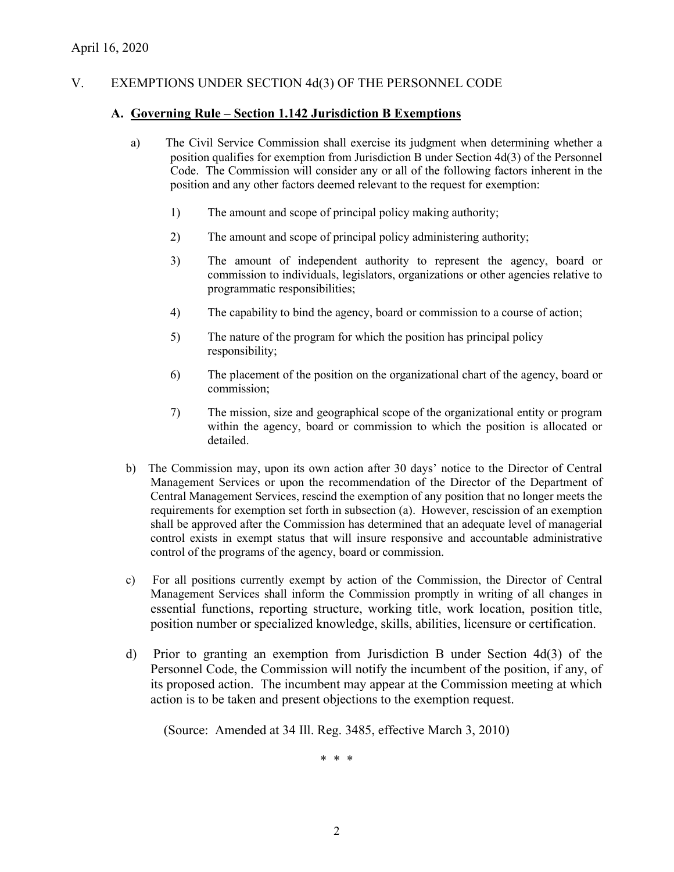## V. EXEMPTIONS UNDER SECTION 4d(3) OF THE PERSONNEL CODE

#### **A. Governing Rule – Section 1.142 Jurisdiction B Exemptions**

- a) The Civil Service Commission shall exercise its judgment when determining whether a position qualifies for exemption from Jurisdiction B under Section 4d(3) of the Personnel Code. The Commission will consider any or all of the following factors inherent in the position and any other factors deemed relevant to the request for exemption:
	- 1) The amount and scope of principal policy making authority;
	- 2) The amount and scope of principal policy administering authority;
	- 3) The amount of independent authority to represent the agency, board or commission to individuals, legislators, organizations or other agencies relative to programmatic responsibilities;
	- 4) The capability to bind the agency, board or commission to a course of action;
	- 5) The nature of the program for which the position has principal policy responsibility;
	- 6) The placement of the position on the organizational chart of the agency, board or commission;
	- 7) The mission, size and geographical scope of the organizational entity or program within the agency, board or commission to which the position is allocated or detailed.
- b) The Commission may, upon its own action after 30 days' notice to the Director of Central Management Services or upon the recommendation of the Director of the Department of Central Management Services, rescind the exemption of any position that no longer meets the requirements for exemption set forth in subsection (a). However, rescission of an exemption shall be approved after the Commission has determined that an adequate level of managerial control exists in exempt status that will insure responsive and accountable administrative control of the programs of the agency, board or commission.
- c) For all positions currently exempt by action of the Commission, the Director of Central Management Services shall inform the Commission promptly in writing of all changes in essential functions, reporting structure, working title, work location, position title, position number or specialized knowledge, skills, abilities, licensure or certification.
- d) Prior to granting an exemption from Jurisdiction B under Section 4d(3) of the Personnel Code, the Commission will notify the incumbent of the position, if any, of its proposed action. The incumbent may appear at the Commission meeting at which action is to be taken and present objections to the exemption request.

(Source: Amended at 34 Ill. Reg. 3485, effective March 3, 2010)

\* \* \*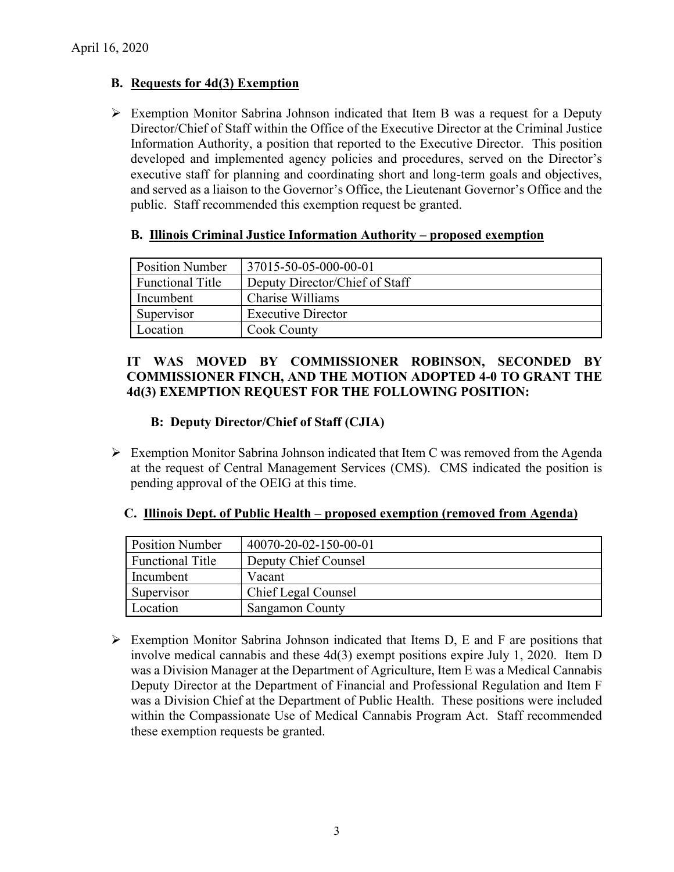## **B. Requests for 4d(3) Exemption**

 Exemption Monitor Sabrina Johnson indicated that Item B was a request for a Deputy Director/Chief of Staff within the Office of the Executive Director at the Criminal Justice Information Authority, a position that reported to the Executive Director. This position developed and implemented agency policies and procedures, served on the Director's executive staff for planning and coordinating short and long-term goals and objectives, and served as a liaison to the Governor's Office, the Lieutenant Governor's Office and the public. Staff recommended this exemption request be granted.

| <b>Position Number</b>  | 37015-50-05-000-00-01          |
|-------------------------|--------------------------------|
| <b>Functional Title</b> | Deputy Director/Chief of Staff |
| Incumbent               | Charise Williams               |
| Supervisor              | <b>Executive Director</b>      |
| Location                | <b>Cook County</b>             |

### **B. Illinois Criminal Justice Information Authority – proposed exemption**

## **IT WAS MOVED BY COMMISSIONER ROBINSON, SECONDED BY COMMISSIONER FINCH, AND THE MOTION ADOPTED 4-0 TO GRANT THE 4d(3) EXEMPTION REQUEST FOR THE FOLLOWING POSITION:**

## **B: Deputy Director/Chief of Staff (CJIA)**

 $\triangleright$  Exemption Monitor Sabrina Johnson indicated that Item C was removed from the Agenda at the request of Central Management Services (CMS). CMS indicated the position is pending approval of the OEIG at this time.

| <b>Position Number</b>  | 40070-20-02-150-00-01 |
|-------------------------|-----------------------|
| <b>Functional Title</b> | Deputy Chief Counsel  |
| Incumbent               | Vacant                |
| Supervisor              | Chief Legal Counsel   |
| Location                | Sangamon County       |

 **C. Illinois Dept. of Public Health – proposed exemption (removed from Agenda)**

 $\triangleright$  Exemption Monitor Sabrina Johnson indicated that Items D, E and F are positions that involve medical cannabis and these 4d(3) exempt positions expire July 1, 2020. Item D was a Division Manager at the Department of Agriculture, Item E was a Medical Cannabis Deputy Director at the Department of Financial and Professional Regulation and Item F was a Division Chief at the Department of Public Health. These positions were included within the Compassionate Use of Medical Cannabis Program Act. Staff recommended these exemption requests be granted.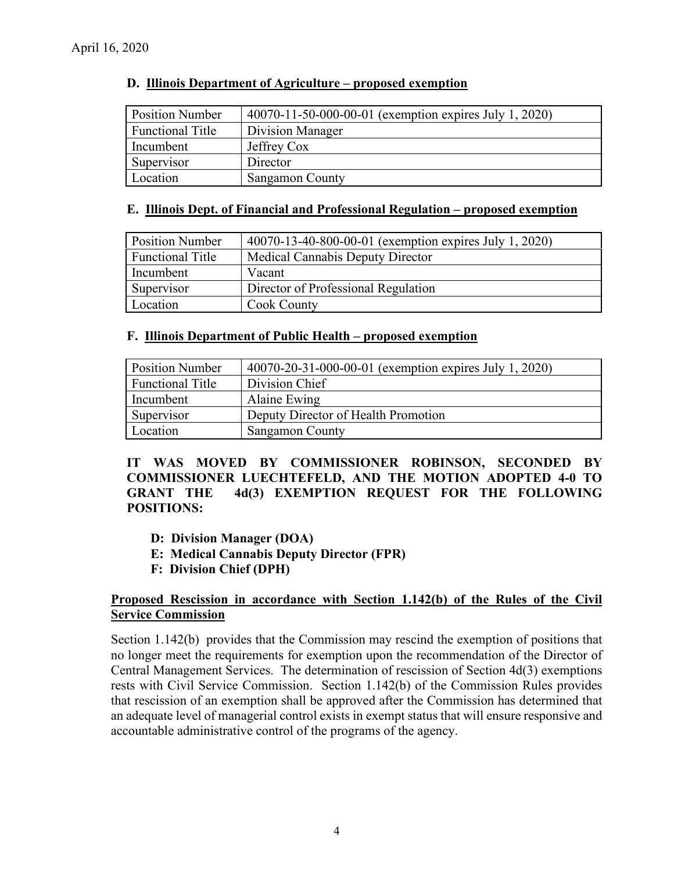| D. Illinois Department of Agriculture – proposed exemption |
|------------------------------------------------------------|
|------------------------------------------------------------|

| <b>Position Number</b>  | 40070-11-50-000-00-01 (exemption expires July 1, 2020) |
|-------------------------|--------------------------------------------------------|
| <b>Functional Title</b> | Division Manager                                       |
| Incumbent               | Jeffrey Cox                                            |
| Supervisor              | Director                                               |
| Location                | <b>Sangamon County</b>                                 |

#### **E. Illinois Dept. of Financial and Professional Regulation – proposed exemption**

| <b>Position Number</b> | 40070-13-40-800-00-01 (exemption expires July 1, 2020) |
|------------------------|--------------------------------------------------------|
| Functional Title       | <b>Medical Cannabis Deputy Director</b>                |
| Incumbent              | Vacant                                                 |
| Supervisor             | Director of Professional Regulation                    |
| Location               | Cook County                                            |

#### **F. Illinois Department of Public Health – proposed exemption**

| <b>Position Number</b>  | 40070-20-31-000-00-01 (exemption expires July 1, 2020) |
|-------------------------|--------------------------------------------------------|
| <b>Functional Title</b> | Division Chief                                         |
| Incumbent               | Alaine Ewing                                           |
| Supervisor              | Deputy Director of Health Promotion                    |
| Location                | <b>Sangamon County</b>                                 |

**IT WAS MOVED BY COMMISSIONER ROBINSON, SECONDED BY COMMISSIONER LUECHTEFELD, AND THE MOTION ADOPTED 4-0 TO GRANT THE 4d(3) EXEMPTION REQUEST FOR THE FOLLOWING POSITIONS:**

- **D: Division Manager (DOA)**
- **E: Medical Cannabis Deputy Director (FPR)**
- **F: Division Chief (DPH)**

### **Proposed Rescission in accordance with Section 1.142(b) of the Rules of the Civil Service Commission**

Section 1.142(b) provides that the Commission may rescind the exemption of positions that no longer meet the requirements for exemption upon the recommendation of the Director of Central Management Services. The determination of rescission of Section 4d(3) exemptions rests with Civil Service Commission. Section 1.142(b) of the Commission Rules provides that rescission of an exemption shall be approved after the Commission has determined that an adequate level of managerial control exists in exempt status that will ensure responsive and accountable administrative control of the programs of the agency.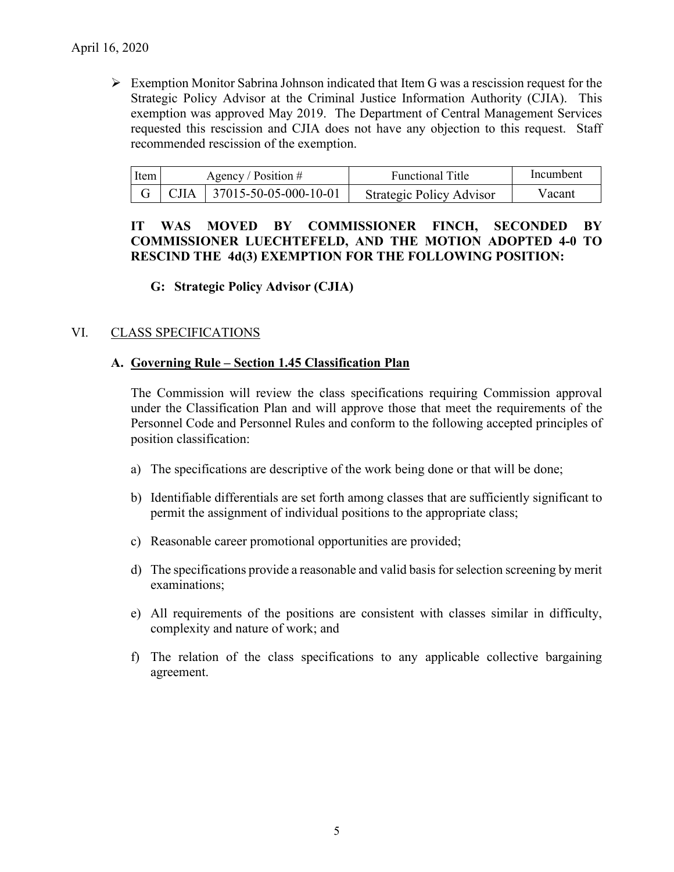$\triangleright$  Exemption Monitor Sabrina Johnson indicated that Item G was a rescission request for the Strategic Policy Advisor at the Criminal Justice Information Authority (CJIA). This exemption was approved May 2019. The Department of Central Management Services requested this rescission and CJIA does not have any objection to this request. Staff recommended rescission of the exemption.

| ltem l | Agency / Position $#$ |                                            | <b>Functional Title</b>  | Incumbent |
|--------|-----------------------|--------------------------------------------|--------------------------|-----------|
|        |                       | $\vert$ CJIA $\vert$ 37015-50-05-000-10-01 | Strategic Policy Advisor | V acant   |

## **IT WAS MOVED BY COMMISSIONER FINCH, SECONDED BY COMMISSIONER LUECHTEFELD, AND THE MOTION ADOPTED 4-0 TO RESCIND THE 4d(3) EXEMPTION FOR THE FOLLOWING POSITION:**

**G: Strategic Policy Advisor (CJIA)**

## VI. CLASS SPECIFICATIONS

### **A. Governing Rule – Section 1.45 Classification Plan**

The Commission will review the class specifications requiring Commission approval under the Classification Plan and will approve those that meet the requirements of the Personnel Code and Personnel Rules and conform to the following accepted principles of position classification:

- a) The specifications are descriptive of the work being done or that will be done;
- b) Identifiable differentials are set forth among classes that are sufficiently significant to permit the assignment of individual positions to the appropriate class;
- c) Reasonable career promotional opportunities are provided;
- d) The specifications provide a reasonable and valid basis for selection screening by merit examinations;
- e) All requirements of the positions are consistent with classes similar in difficulty, complexity and nature of work; and
- f) The relation of the class specifications to any applicable collective bargaining agreement.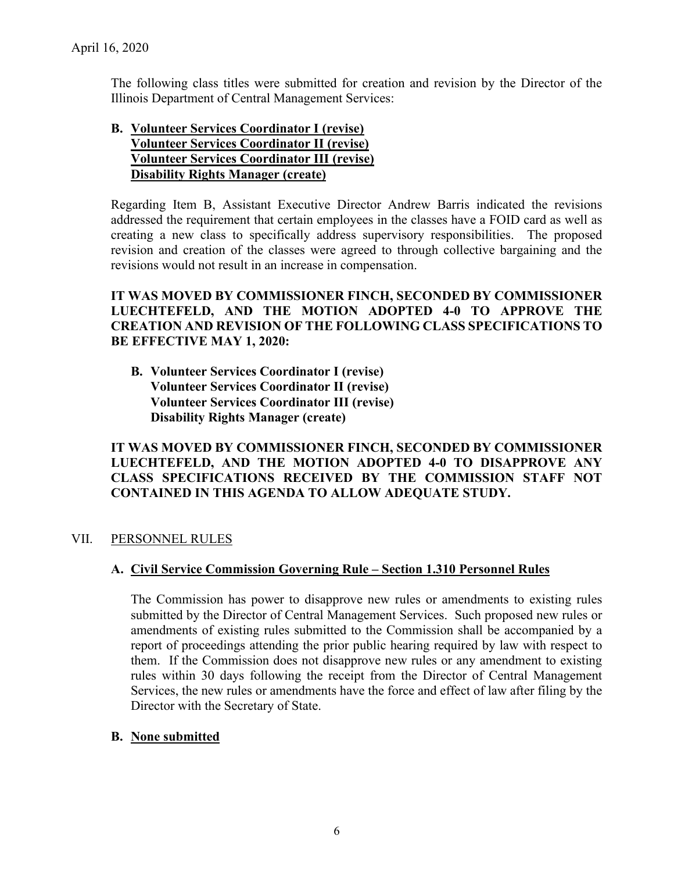The following class titles were submitted for creation and revision by the Director of the Illinois Department of Central Management Services:

## **B. Volunteer Services Coordinator I (revise) Volunteer Services Coordinator II (revise) Volunteer Services Coordinator III (revise) Disability Rights Manager (create)**

Regarding Item B, Assistant Executive Director Andrew Barris indicated the revisions addressed the requirement that certain employees in the classes have a FOID card as well as creating a new class to specifically address supervisory responsibilities. The proposed revision and creation of the classes were agreed to through collective bargaining and the revisions would not result in an increase in compensation.

## **IT WAS MOVED BY COMMISSIONER FINCH, SECONDED BY COMMISSIONER LUECHTEFELD, AND THE MOTION ADOPTED 4-0 TO APPROVE THE CREATION AND REVISION OF THE FOLLOWING CLASS SPECIFICATIONS TO BE EFFECTIVE MAY 1, 2020:**

**B. Volunteer Services Coordinator I (revise) Volunteer Services Coordinator II (revise) Volunteer Services Coordinator III (revise) Disability Rights Manager (create)**

## **IT WAS MOVED BY COMMISSIONER FINCH, SECONDED BY COMMISSIONER LUECHTEFELD, AND THE MOTION ADOPTED 4-0 TO DISAPPROVE ANY CLASS SPECIFICATIONS RECEIVED BY THE COMMISSION STAFF NOT CONTAINED IN THIS AGENDA TO ALLOW ADEQUATE STUDY.**

#### VII. PERSONNEL RULES

## **A. Civil Service Commission Governing Rule – Section 1.310 Personnel Rules**

The Commission has power to disapprove new rules or amendments to existing rules submitted by the Director of Central Management Services. Such proposed new rules or amendments of existing rules submitted to the Commission shall be accompanied by a report of proceedings attending the prior public hearing required by law with respect to them. If the Commission does not disapprove new rules or any amendment to existing rules within 30 days following the receipt from the Director of Central Management Services, the new rules or amendments have the force and effect of law after filing by the Director with the Secretary of State.

#### **B. None submitted**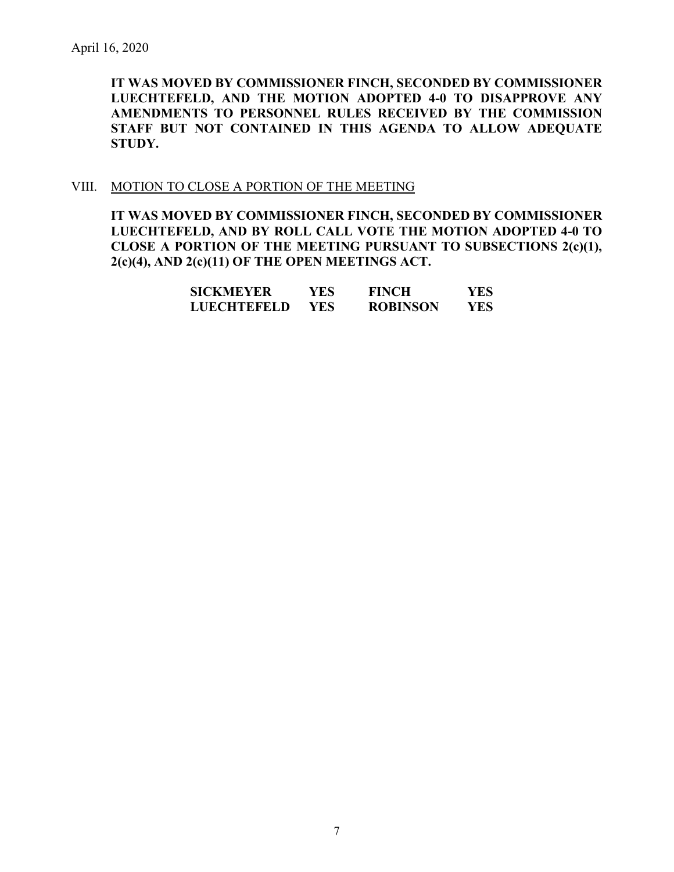**IT WAS MOVED BY COMMISSIONER FINCH, SECONDED BY COMMISSIONER LUECHTEFELD, AND THE MOTION ADOPTED 4-0 TO DISAPPROVE ANY AMENDMENTS TO PERSONNEL RULES RECEIVED BY THE COMMISSION STAFF BUT NOT CONTAINED IN THIS AGENDA TO ALLOW ADEQUATE STUDY.** 

#### VIII. MOTION TO CLOSE A PORTION OF THE MEETING

**IT WAS MOVED BY COMMISSIONER FINCH, SECONDED BY COMMISSIONER LUECHTEFELD, AND BY ROLL CALL VOTE THE MOTION ADOPTED 4-0 TO CLOSE A PORTION OF THE MEETING PURSUANT TO SUBSECTIONS 2(c)(1), 2(c)(4), AND 2(c)(11) OF THE OPEN MEETINGS ACT.**

| SICKMEYER   | YES  | <b>FINCH</b>    | YES. |
|-------------|------|-----------------|------|
| LUECHTEFELD | YES. | <b>ROBINSON</b> | YES. |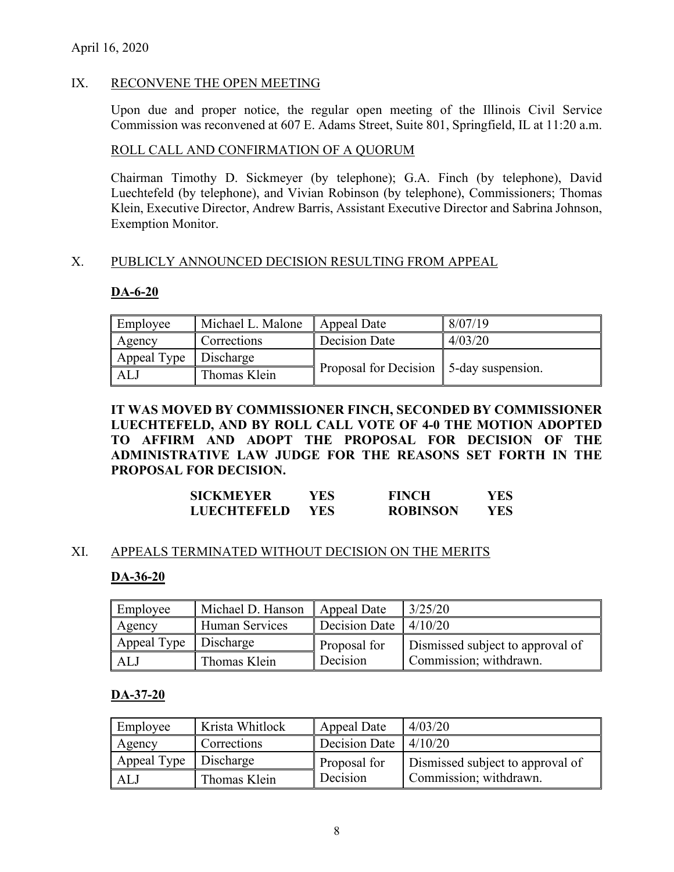### April 16, 2020

#### IX. RECONVENE THE OPEN MEETING

Upon due and proper notice, the regular open meeting of the Illinois Civil Service Commission was reconvened at 607 E. Adams Street, Suite 801, Springfield, IL at 11:20 a.m.

#### ROLL CALL AND CONFIRMATION OF A QUORUM

Chairman Timothy D. Sickmeyer (by telephone); G.A. Finch (by telephone), David Luechtefeld (by telephone), and Vivian Robinson (by telephone), Commissioners; Thomas Klein, Executive Director, Andrew Barris, Assistant Executive Director and Sabrina Johnson, Exemption Monitor.

### X. PUBLICLY ANNOUNCED DECISION RESULTING FROM APPEAL

#### **DA-6-20**

| Employee                | Michael L. Malone | Appeal Date                              | 8/07/19 |
|-------------------------|-------------------|------------------------------------------|---------|
| Agency                  | Corrections       | Decision Date                            | 4/03/20 |
| Appeal Type   Discharge |                   |                                          |         |
| ALJ.                    | Thomas Klein      | Proposal for Decision 15-day suspension. |         |

**IT WAS MOVED BY COMMISSIONER FINCH, SECONDED BY COMMISSIONER LUECHTEFELD, AND BY ROLL CALL VOTE OF 4-0 THE MOTION ADOPTED TO AFFIRM AND ADOPT THE PROPOSAL FOR DECISION OF THE ADMINISTRATIVE LAW JUDGE FOR THE REASONS SET FORTH IN THE PROPOSAL FOR DECISION.**

| <b>SICKMEYER</b>   | YES  | <b>FINCH</b>    | YES  |
|--------------------|------|-----------------|------|
| <b>LUECHTEFELD</b> | YES. | <b>ROBINSON</b> | YES. |

# XI. APPEALS TERMINATED WITHOUT DECISION ON THE MERITS

# **DA-36-20**

| Employee    | Michael D. Hanson | Appeal Date                         | 3/25/20                          |
|-------------|-------------------|-------------------------------------|----------------------------------|
| Agency      | Human Services    | Decision Date $\vert 4/10/20 \vert$ |                                  |
| Appeal Type | Discharge         | Proposal for                        | Dismissed subject to approval of |
| ALJ         | Thomas Klein      | Decision                            | Commission; withdrawn.           |

# **DA-37-20**

| Employee                | Krista Whitlock | Appeal Date   | 4/03/20                          |
|-------------------------|-----------------|---------------|----------------------------------|
| Agency                  | Corrections     | Decision Date | 4/10/20                          |
| Appeal Type   Discharge |                 | Proposal for  | Dismissed subject to approval of |
| ALJ                     | Thomas Klein    | Decision      | Commission; withdrawn.           |